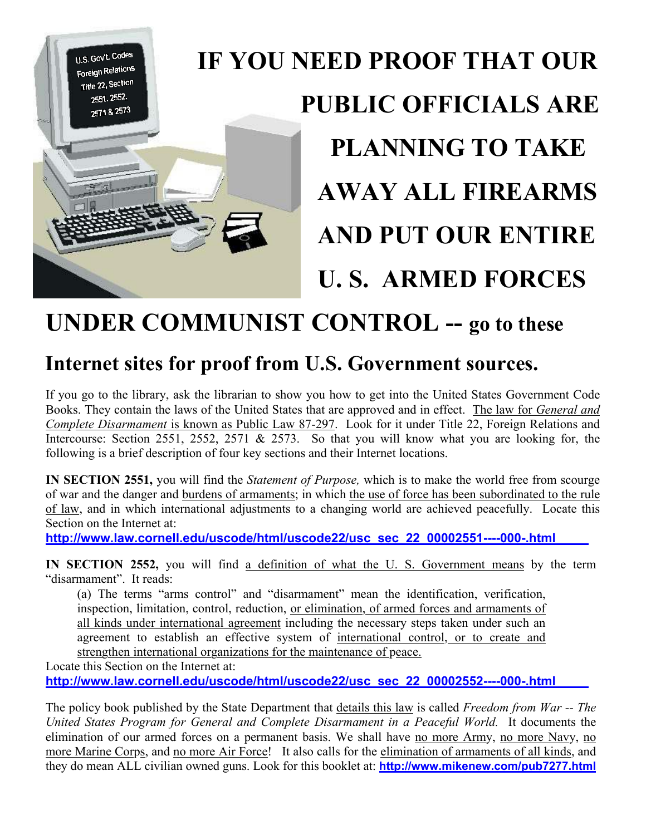

## **UNDER COMMUNIST CONTROL -- go to these**

## **Internet sites for proof from U.S. Government sources.**

If you go to the library, ask the librarian to show you how to get into the United States Government Code Books. They contain the laws of the United States that are approved and in effect. The law for *General and Complete Disarmament* is known as Public Law 87-297. Look for it under Title 22, Foreign Relations and Intercourse: Section 2551, 2552, 2571 & 2573. So that you will know what you are looking for, the following is a brief description of four key sections and their Internet locations.

**IN SECTION 2551,** you will find the *Statement of Purpose,* which is to make the world free from scourge of war and the danger and burdens of armaments; in which the use of force has been subordinated to the rule of law, and in which international adjustments to a changing world are achieved peacefully. Locate this Section on the Internet at:

**http://www.[law.cornell.edu/uscode/html/uscode22/usc\\_sec\\_22\\_00002551----000-.html](http://www.law.cornell.edu/uscode/html/uscode22/usc_sec_22_00002551----000-.html)**

**IN SECTION 2552,** you will find a definition of what the U. S. Government means by the term "disarmament". It reads:

(a) The terms "arms control" and "disarmament" mean the identification, verification, inspection, limitation, control, reduction, or elimination, of armed forces and armaments of all kinds under international agreement including the necessary steps taken under such an agreement to establish an effective system of international control, or to create and strengthen international organizations for the maintenance of peace.

Locate this Section on the Internet at:

**http://www[.law.cornell.edu/uscode/html/uscode22/usc\\_sec\\_22\\_00002552----000-.html](http://www.law.cornell.edu/uscode/html/uscode22/usc_sec_22_00002552----000-.html)**

The policy book published by the State Department that details this law is called *Freedom from War -- The United States Program for General and Complete Disarmament in a Peaceful World.* It documents the elimination of our armed forces on a permanent basis. We shall have no more Army, no more Navy, no more Marine Corps, and no more Air Force! It also calls for the elimination of armaments of all kinds, and they do mean ALL civilian owned guns. Look for this booklet at: **<http://www.mikenew.com/pub7277.html>**